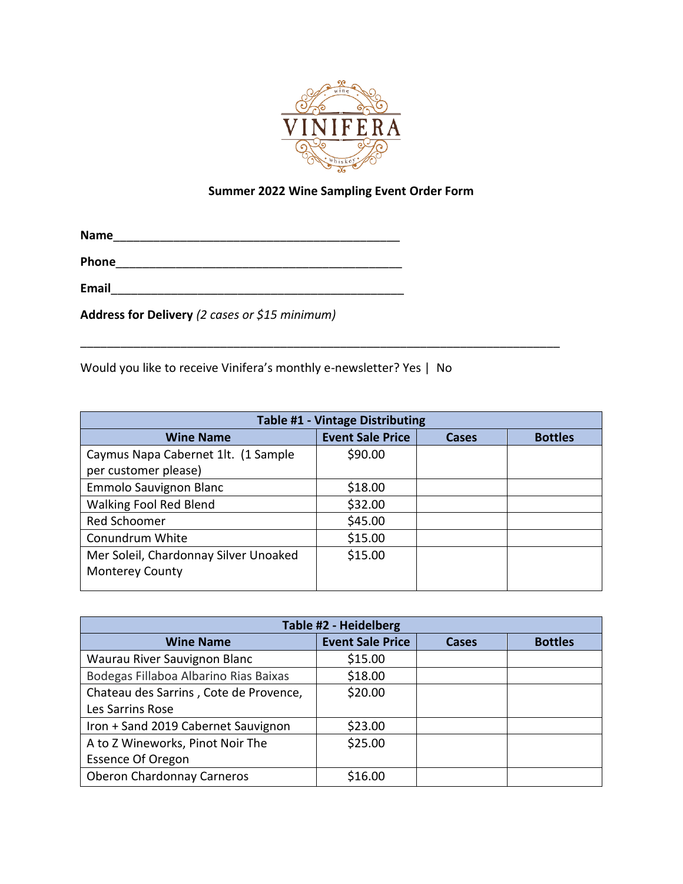

## **Summer 2022 Wine Sampling Event Order Form**

 $\overline{\phantom{a}}$ 

**Name**\_\_\_\_\_\_\_\_\_\_\_\_\_\_\_\_\_\_\_\_\_\_\_\_\_\_\_\_\_\_\_\_\_\_\_\_\_\_\_\_\_\_\_

**Phone**\_\_\_\_\_\_\_\_\_\_\_\_\_\_\_\_\_\_\_\_\_\_\_\_\_\_\_\_\_\_\_\_\_\_\_\_\_\_\_\_\_\_\_

**Email**\_\_\_\_\_\_\_\_\_\_\_\_\_\_\_\_\_\_\_\_\_\_\_\_\_\_\_\_\_\_\_\_\_\_\_\_\_\_\_\_\_\_\_\_

**Address for Delivery** *(2 cases or \$15 minimum)*

Would you like to receive Vinifera's monthly e-newsletter? Yes | No

| <b>Table #1 - Vintage Distributing</b> |                         |       |                |
|----------------------------------------|-------------------------|-------|----------------|
| <b>Wine Name</b>                       | <b>Event Sale Price</b> | Cases | <b>Bottles</b> |
| Caymus Napa Cabernet 1lt. (1 Sample    | \$90.00                 |       |                |
| per customer please)                   |                         |       |                |
| Emmolo Sauvignon Blanc                 | \$18.00                 |       |                |
| <b>Walking Fool Red Blend</b>          | \$32.00                 |       |                |
| Red Schoomer                           | \$45.00                 |       |                |
| Conundrum White                        | \$15.00                 |       |                |
| Mer Soleil, Chardonnay Silver Unoaked  | \$15.00                 |       |                |
| <b>Monterey County</b>                 |                         |       |                |
|                                        |                         |       |                |

| Table #2 - Heidelberg                  |                         |              |                |
|----------------------------------------|-------------------------|--------------|----------------|
| <b>Wine Name</b>                       | <b>Event Sale Price</b> | <b>Cases</b> | <b>Bottles</b> |
| Waurau River Sauvignon Blanc           | \$15.00                 |              |                |
| Bodegas Fillaboa Albarino Rias Baixas  | \$18.00                 |              |                |
| Chateau des Sarrins, Cote de Provence, | \$20.00                 |              |                |
| Les Sarrins Rose                       |                         |              |                |
| Iron + Sand 2019 Cabernet Sauvignon    | \$23.00                 |              |                |
| A to Z Wineworks, Pinot Noir The       | \$25.00                 |              |                |
| <b>Essence Of Oregon</b>               |                         |              |                |
| <b>Oberon Chardonnay Carneros</b>      | \$16.00                 |              |                |